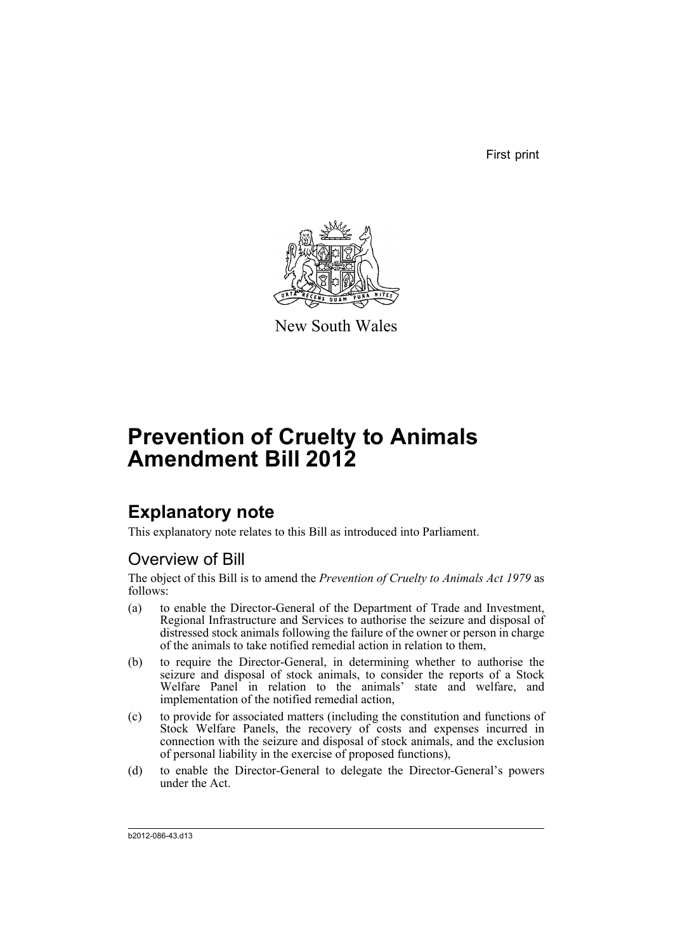First print



New South Wales

# **Prevention of Cruelty to Animals Amendment Bill 2012**

## **Explanatory note**

This explanatory note relates to this Bill as introduced into Parliament.

### Overview of Bill

The object of this Bill is to amend the *Prevention of Cruelty to Animals Act 1979* as follows:

- (a) to enable the Director-General of the Department of Trade and Investment, Regional Infrastructure and Services to authorise the seizure and disposal of distressed stock animals following the failure of the owner or person in charge of the animals to take notified remedial action in relation to them,
- (b) to require the Director-General, in determining whether to authorise the seizure and disposal of stock animals, to consider the reports of a Stock Welfare Panel in relation to the animals' state and welfare, and implementation of the notified remedial action,
- (c) to provide for associated matters (including the constitution and functions of Stock Welfare Panels, the recovery of costs and expenses incurred in connection with the seizure and disposal of stock animals, and the exclusion of personal liability in the exercise of proposed functions),
- (d) to enable the Director-General to delegate the Director-General's powers under the Act.

b2012-086-43.d13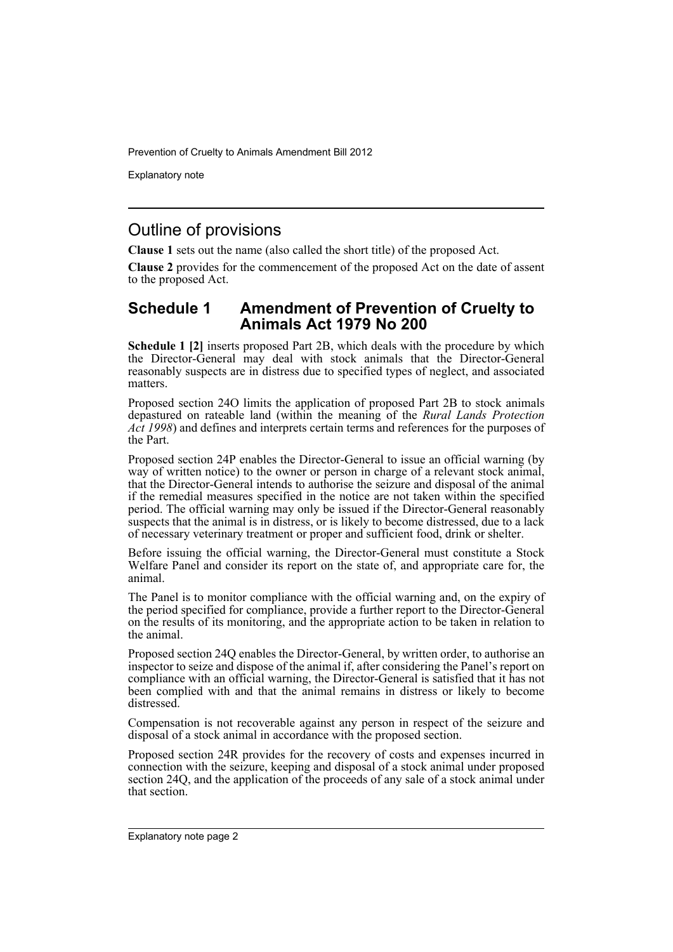Explanatory note

### Outline of provisions

**Clause 1** sets out the name (also called the short title) of the proposed Act.

**Clause 2** provides for the commencement of the proposed Act on the date of assent to the proposed Act.

#### **Schedule 1 Amendment of Prevention of Cruelty to Animals Act 1979 No 200**

**Schedule 1 [2]** inserts proposed Part 2B, which deals with the procedure by which the Director-General may deal with stock animals that the Director-General reasonably suspects are in distress due to specified types of neglect, and associated matters.

Proposed section 24O limits the application of proposed Part 2B to stock animals depastured on rateable land (within the meaning of the *Rural Lands Protection Act 1998*) and defines and interprets certain terms and references for the purposes of the Part.

Proposed section 24P enables the Director-General to issue an official warning (by way of written notice) to the owner or person in charge of a relevant stock animal, that the Director-General intends to authorise the seizure and disposal of the animal if the remedial measures specified in the notice are not taken within the specified period. The official warning may only be issued if the Director-General reasonably suspects that the animal is in distress, or is likely to become distressed, due to a lack of necessary veterinary treatment or proper and sufficient food, drink or shelter.

Before issuing the official warning, the Director-General must constitute a Stock Welfare Panel and consider its report on the state of, and appropriate care for, the animal.

The Panel is to monitor compliance with the official warning and, on the expiry of the period specified for compliance, provide a further report to the Director-General on the results of its monitoring, and the appropriate action to be taken in relation to the animal.

Proposed section 24Q enables the Director-General, by written order, to authorise an inspector to seize and dispose of the animal if, after considering the Panel's report on compliance with an official warning, the Director-General is satisfied that it has not been complied with and that the animal remains in distress or likely to become distressed.

Compensation is not recoverable against any person in respect of the seizure and disposal of a stock animal in accordance with the proposed section.

Proposed section 24R provides for the recovery of costs and expenses incurred in connection with the seizure, keeping and disposal of a stock animal under proposed section 24Q, and the application of the proceeds of any sale of a stock animal under that section.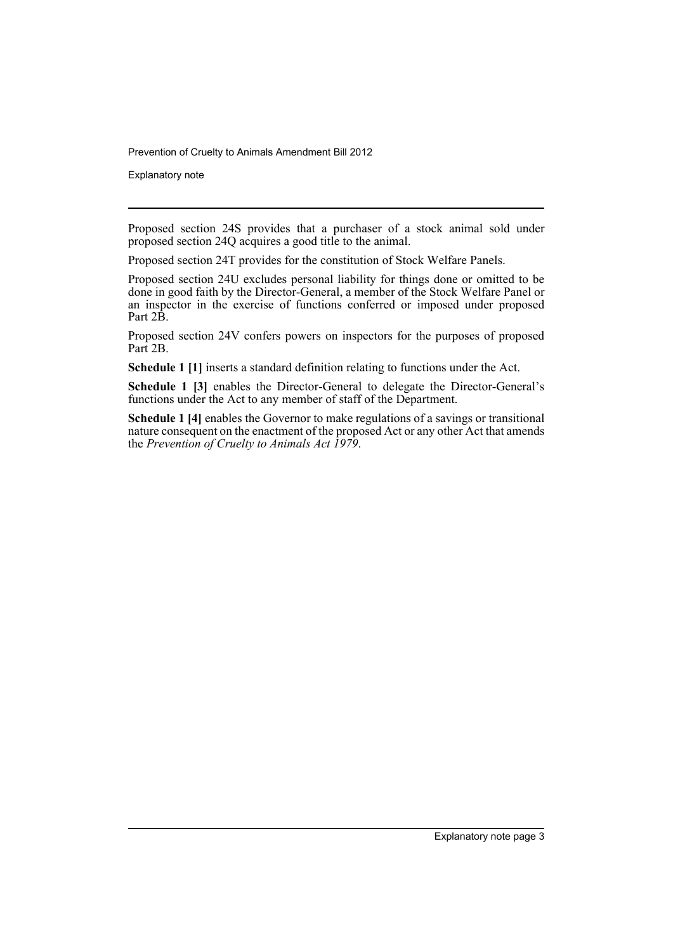Explanatory note

Proposed section 24S provides that a purchaser of a stock animal sold under proposed section 24Q acquires a good title to the animal.

Proposed section 24T provides for the constitution of Stock Welfare Panels.

Proposed section 24U excludes personal liability for things done or omitted to be done in good faith by the Director-General, a member of the Stock Welfare Panel or an inspector in the exercise of functions conferred or imposed under proposed Part 2B.

Proposed section 24V confers powers on inspectors for the purposes of proposed Part 2B.

**Schedule 1 [1]** inserts a standard definition relating to functions under the Act.

**Schedule 1 [3]** enables the Director-General to delegate the Director-General's functions under the Act to any member of staff of the Department.

**Schedule 1 [4]** enables the Governor to make regulations of a savings or transitional nature consequent on the enactment of the proposed Act or any other Act that amends the *Prevention of Cruelty to Animals Act 1979*.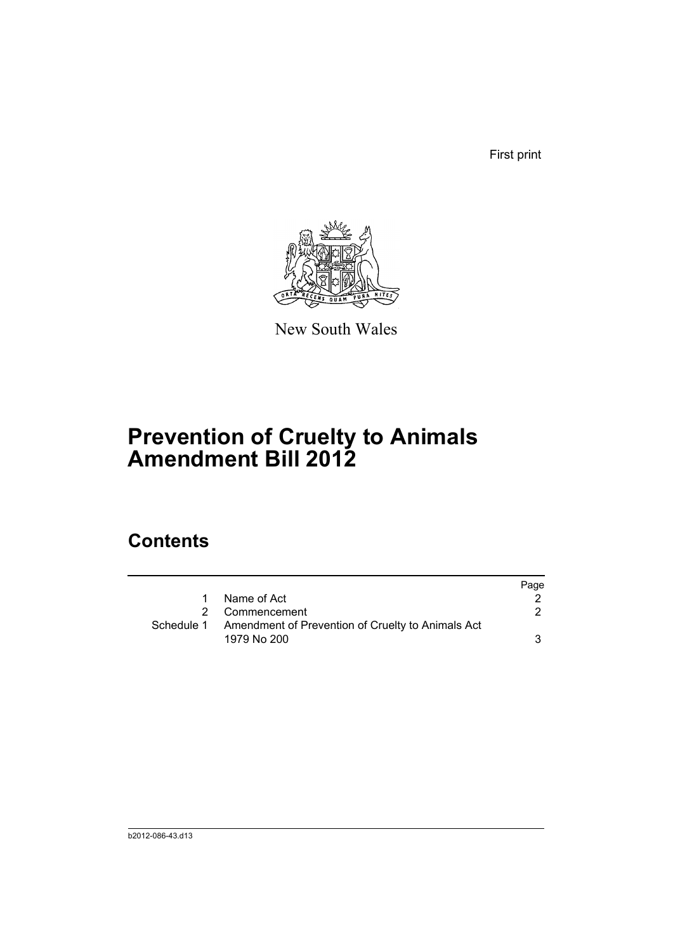First print



New South Wales

# **Prevention of Cruelty to Animals Amendment Bill 2012**

### **Contents**

|                                                              | Page |
|--------------------------------------------------------------|------|
| 1 Name of Act                                                |      |
| 2 Commencement                                               |      |
| Schedule 1 Amendment of Prevention of Cruelty to Animals Act |      |
| 1979 No 200                                                  |      |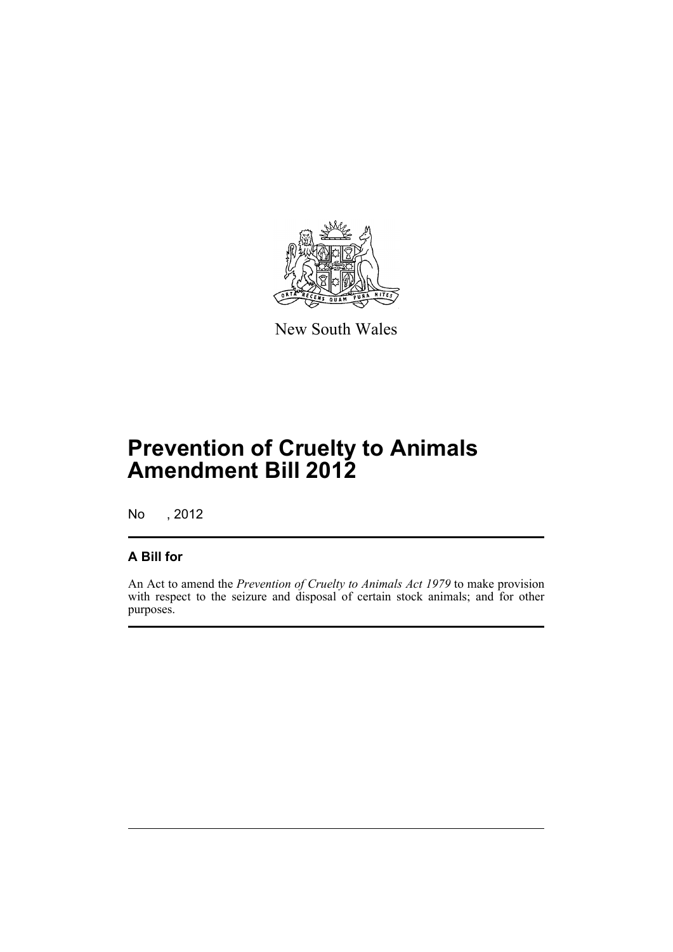

New South Wales

# **Prevention of Cruelty to Animals Amendment Bill 2012**

No , 2012

#### **A Bill for**

An Act to amend the *Prevention of Cruelty to Animals Act 1979* to make provision with respect to the seizure and disposal of certain stock animals; and for other purposes.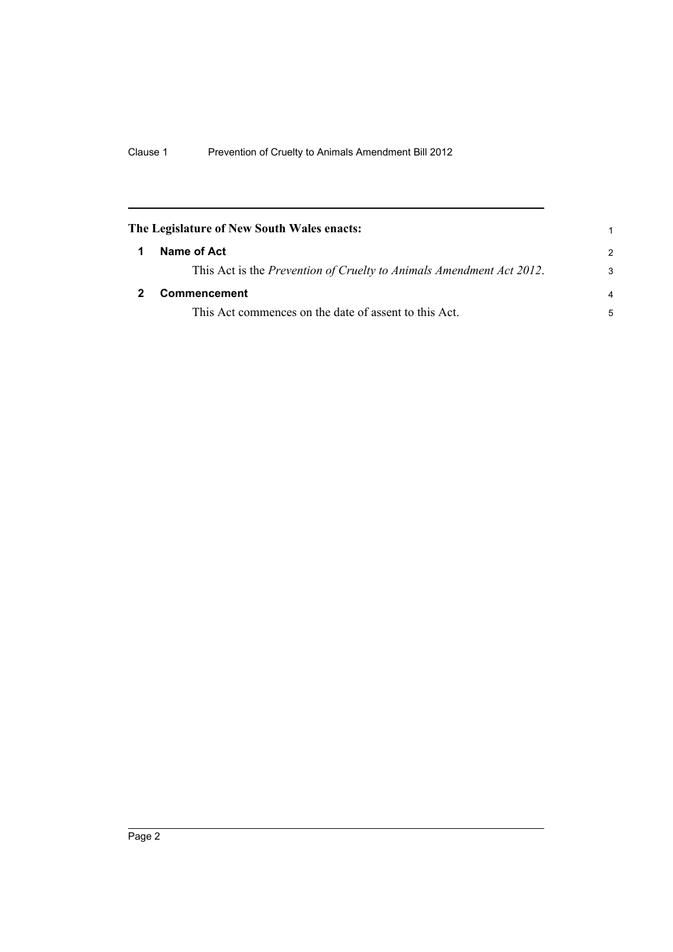<span id="page-7-1"></span><span id="page-7-0"></span>

| The Legislature of New South Wales enacts:                           | 1             |
|----------------------------------------------------------------------|---------------|
| Name of Act                                                          | $\mathcal{P}$ |
| This Act is the Prevention of Cruelty to Animals Amendment Act 2012. | 3             |
| Commencement                                                         | 4             |
| This Act commences on the date of assent to this Act.                | 5             |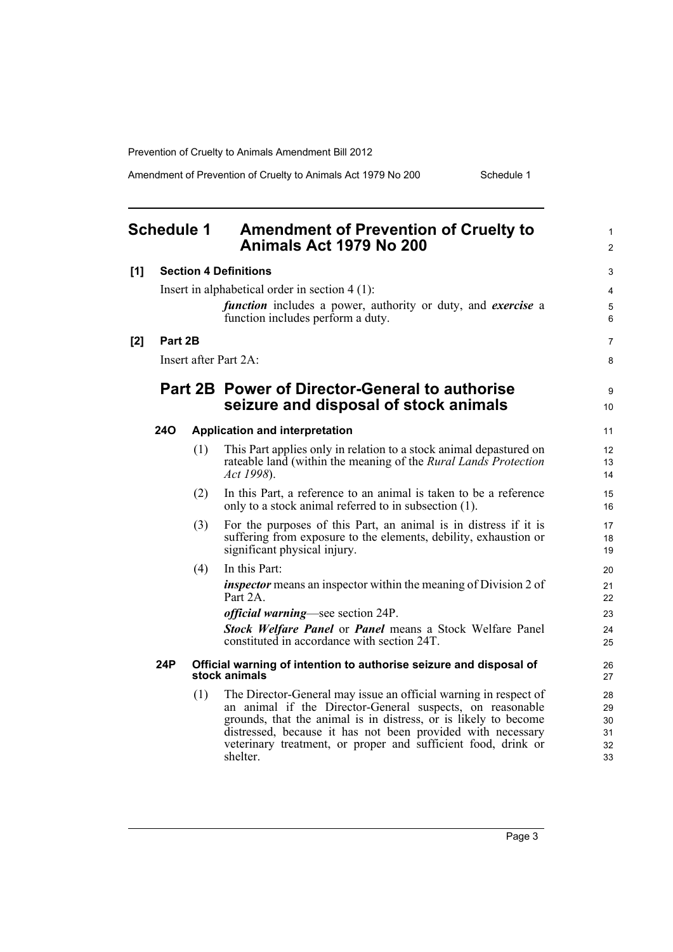Amendment of Prevention of Cruelty to Animals Act 1979 No 200 Schedule 1

<span id="page-8-0"></span>

|     | <b>Schedule 1</b> |     | <b>Amendment of Prevention of Cruelty to</b><br>Animals Act 1979 No 200                                                                                                                                                                                                                                                                      | 1<br>$\overline{c}$              |
|-----|-------------------|-----|----------------------------------------------------------------------------------------------------------------------------------------------------------------------------------------------------------------------------------------------------------------------------------------------------------------------------------------------|----------------------------------|
| [1] |                   |     | <b>Section 4 Definitions</b>                                                                                                                                                                                                                                                                                                                 | 3                                |
|     |                   |     | Insert in alphabetical order in section $4(1)$ :<br><i>function</i> includes a power, authority or duty, and <i>exercise</i> a<br>function includes perform a duty.                                                                                                                                                                          | $\overline{4}$<br>5<br>6         |
| [2] | Part 2B           |     |                                                                                                                                                                                                                                                                                                                                              | 7                                |
|     |                   |     | Insert after Part 2A:                                                                                                                                                                                                                                                                                                                        | 8                                |
|     |                   |     | <b>Part 2B Power of Director-General to authorise</b><br>seizure and disposal of stock animals                                                                                                                                                                                                                                               | 9<br>10                          |
|     | 24O               |     | <b>Application and interpretation</b>                                                                                                                                                                                                                                                                                                        | 11                               |
|     |                   | (1) | This Part applies only in relation to a stock animal depastured on<br>rateable land (within the meaning of the <i>Rural Lands Protection</i><br>Act 1998).                                                                                                                                                                                   | 12<br>13<br>14                   |
|     |                   | (2) | In this Part, a reference to an animal is taken to be a reference<br>only to a stock animal referred to in subsection (1).                                                                                                                                                                                                                   | 15<br>16                         |
|     |                   | (3) | For the purposes of this Part, an animal is in distress if it is<br>suffering from exposure to the elements, debility, exhaustion or<br>significant physical injury.                                                                                                                                                                         | 17<br>18<br>19                   |
|     |                   | (4) | In this Part:                                                                                                                                                                                                                                                                                                                                | 20                               |
|     |                   |     | <i>inspector</i> means an inspector within the meaning of Division 2 of<br>Part 2A.                                                                                                                                                                                                                                                          | 21<br>22                         |
|     |                   |     | <i>official warning—see section 24P.</i>                                                                                                                                                                                                                                                                                                     | 23                               |
|     |                   |     | <b>Stock Welfare Panel or Panel means a Stock Welfare Panel</b><br>constituted in accordance with section 24T.                                                                                                                                                                                                                               | 24<br>25                         |
|     | 24P               |     | Official warning of intention to authorise seizure and disposal of<br>stock animals                                                                                                                                                                                                                                                          | 26<br>27                         |
|     |                   | (1) | The Director-General may issue an official warning in respect of<br>an animal if the Director-General suspects, on reasonable<br>grounds, that the animal is in distress, or is likely to become<br>distressed, because it has not been provided with necessary<br>veterinary treatment, or proper and sufficient food, drink or<br>shelter. | 28<br>29<br>30<br>31<br>32<br>33 |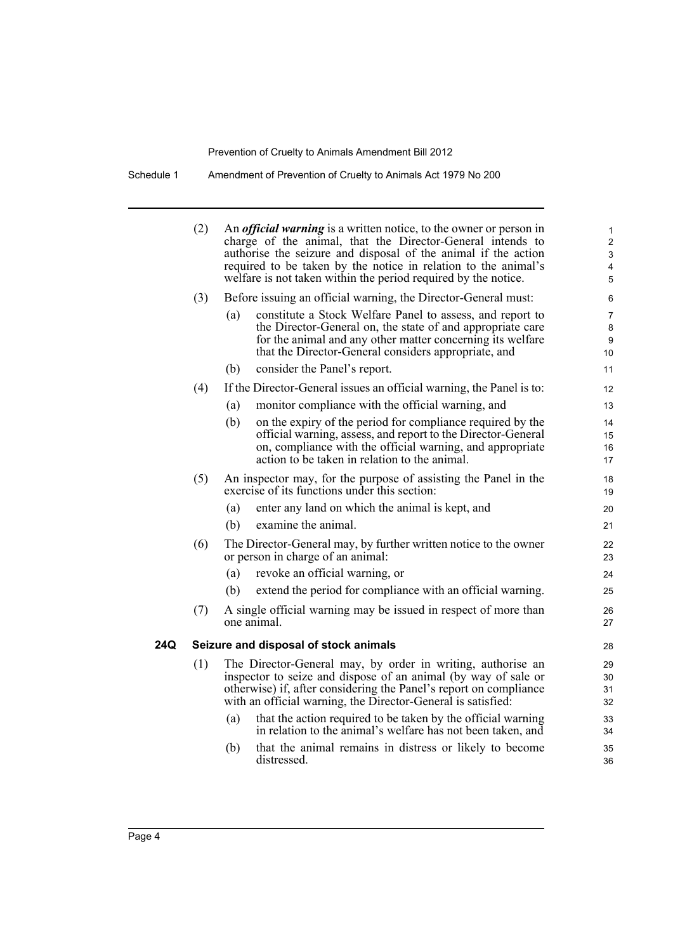Schedule 1 Amendment of Prevention of Cruelty to Animals Act 1979 No 200

|     | (2)<br>An <i>official warning</i> is a written notice, to the owner or person in<br>charge of the animal, that the Director-General intends to<br>authorise the seizure and disposal of the animal if the action<br>required to be taken by the notice in relation to the animal's<br>welfare is not taken within the period required by the notice. |                                                                                                                  |                                                                                                                                   | 1<br>$\overline{2}$<br>3<br>4<br>5 |
|-----|------------------------------------------------------------------------------------------------------------------------------------------------------------------------------------------------------------------------------------------------------------------------------------------------------------------------------------------------------|------------------------------------------------------------------------------------------------------------------|-----------------------------------------------------------------------------------------------------------------------------------|------------------------------------|
|     | (3)                                                                                                                                                                                                                                                                                                                                                  |                                                                                                                  | Before issuing an official warning, the Director-General must:                                                                    | 6                                  |
|     |                                                                                                                                                                                                                                                                                                                                                      | (a)                                                                                                              | constitute a Stock Welfare Panel to assess, and report to                                                                         | 7                                  |
|     |                                                                                                                                                                                                                                                                                                                                                      |                                                                                                                  | the Director-General on, the state of and appropriate care                                                                        | 8                                  |
|     |                                                                                                                                                                                                                                                                                                                                                      |                                                                                                                  | for the animal and any other matter concerning its welfare<br>that the Director-General considers appropriate, and                | 9<br>10                            |
|     |                                                                                                                                                                                                                                                                                                                                                      | (b)                                                                                                              | consider the Panel's report.                                                                                                      | 11                                 |
|     | (4)                                                                                                                                                                                                                                                                                                                                                  |                                                                                                                  | If the Director-General issues an official warning, the Panel is to:                                                              | 12                                 |
|     |                                                                                                                                                                                                                                                                                                                                                      | (a)                                                                                                              | monitor compliance with the official warning, and                                                                                 | 13                                 |
|     |                                                                                                                                                                                                                                                                                                                                                      | (b)                                                                                                              | on the expiry of the period for compliance required by the                                                                        | 14                                 |
|     |                                                                                                                                                                                                                                                                                                                                                      |                                                                                                                  | official warning, assess, and report to the Director-General                                                                      | 15                                 |
|     |                                                                                                                                                                                                                                                                                                                                                      |                                                                                                                  | on, compliance with the official warning, and appropriate<br>action to be taken in relation to the animal.                        | 16<br>17                           |
|     |                                                                                                                                                                                                                                                                                                                                                      |                                                                                                                  |                                                                                                                                   | 18                                 |
|     | (5)                                                                                                                                                                                                                                                                                                                                                  | An inspector may, for the purpose of assisting the Panel in the<br>exercise of its functions under this section: |                                                                                                                                   |                                    |
|     |                                                                                                                                                                                                                                                                                                                                                      | (a)                                                                                                              | enter any land on which the animal is kept, and                                                                                   | 20                                 |
|     |                                                                                                                                                                                                                                                                                                                                                      | (b)                                                                                                              | examine the animal.                                                                                                               | 21                                 |
|     | (6)                                                                                                                                                                                                                                                                                                                                                  |                                                                                                                  | The Director-General may, by further written notice to the owner<br>or person in charge of an animal:                             | 22<br>23                           |
|     |                                                                                                                                                                                                                                                                                                                                                      | (a)                                                                                                              | revoke an official warning, or                                                                                                    | 24                                 |
|     |                                                                                                                                                                                                                                                                                                                                                      | (b)                                                                                                              | extend the period for compliance with an official warning.                                                                        | 25                                 |
|     | (7)                                                                                                                                                                                                                                                                                                                                                  |                                                                                                                  | A single official warning may be issued in respect of more than                                                                   | 26                                 |
|     |                                                                                                                                                                                                                                                                                                                                                      |                                                                                                                  | one animal.                                                                                                                       | 27                                 |
| 24Q |                                                                                                                                                                                                                                                                                                                                                      |                                                                                                                  | Seizure and disposal of stock animals                                                                                             | 28                                 |
|     | (1)                                                                                                                                                                                                                                                                                                                                                  |                                                                                                                  | The Director-General may, by order in writing, authorise an                                                                       | 29                                 |
|     |                                                                                                                                                                                                                                                                                                                                                      |                                                                                                                  | inspector to seize and dispose of an animal (by way of sale or                                                                    | 30                                 |
|     |                                                                                                                                                                                                                                                                                                                                                      |                                                                                                                  | otherwise) if, after considering the Panel's report on compliance<br>with an official warning, the Director-General is satisfied: | 31<br>32                           |
|     |                                                                                                                                                                                                                                                                                                                                                      | (a)                                                                                                              | that the action required to be taken by the official warning                                                                      | 33                                 |
|     |                                                                                                                                                                                                                                                                                                                                                      |                                                                                                                  | in relation to the animal's welfare has not been taken, and                                                                       | 34                                 |
|     |                                                                                                                                                                                                                                                                                                                                                      | (b)                                                                                                              | that the animal remains in distress or likely to become                                                                           | 35                                 |
|     |                                                                                                                                                                                                                                                                                                                                                      |                                                                                                                  | distressed.                                                                                                                       | 36                                 |
|     |                                                                                                                                                                                                                                                                                                                                                      |                                                                                                                  |                                                                                                                                   |                                    |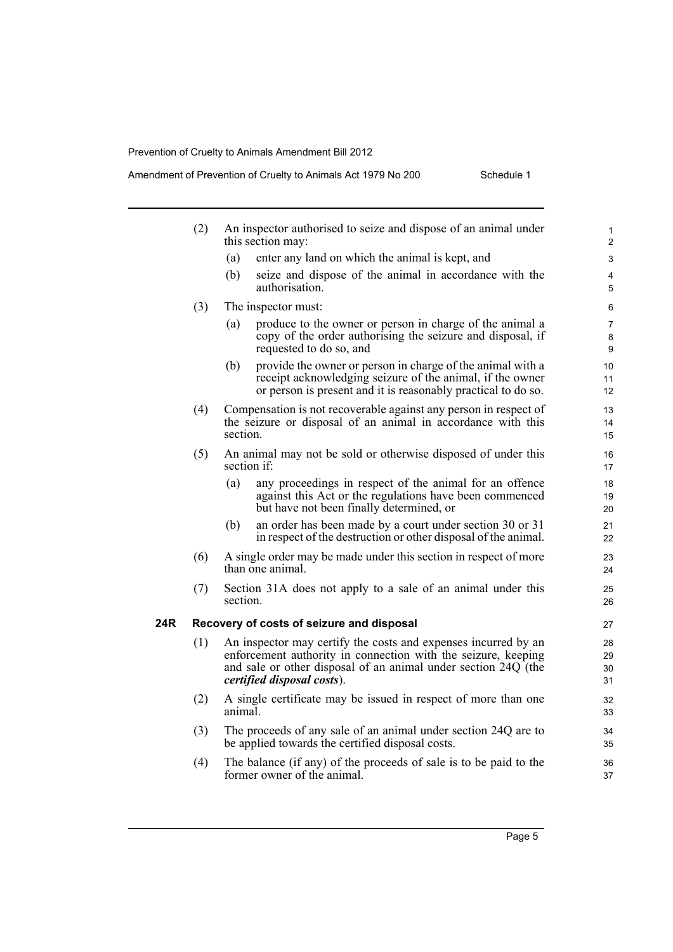|     | (2) | An inspector authorised to seize and dispose of an animal under<br>this section may:                                                                                                                                            | $\mathbf{1}$<br>$\overline{2}$ |
|-----|-----|---------------------------------------------------------------------------------------------------------------------------------------------------------------------------------------------------------------------------------|--------------------------------|
|     |     | enter any land on which the animal is kept, and<br>(a)                                                                                                                                                                          | 3                              |
|     |     | (b)<br>seize and dispose of the animal in accordance with the<br>authorisation.                                                                                                                                                 | 4<br>5                         |
|     | (3) | The inspector must:                                                                                                                                                                                                             | 6                              |
|     |     | produce to the owner or person in charge of the animal a<br>(a)<br>copy of the order authorising the seizure and disposal, if<br>requested to do so, and                                                                        | 7<br>8<br>9                    |
|     |     | provide the owner or person in charge of the animal with a<br>(b)<br>receipt acknowledging seizure of the animal, if the owner<br>or person is present and it is reasonably practical to do so.                                 | 10<br>11<br>12                 |
|     | (4) | Compensation is not recoverable against any person in respect of<br>the seizure or disposal of an animal in accordance with this<br>section.                                                                                    | 13<br>14<br>15                 |
|     | (5) | An animal may not be sold or otherwise disposed of under this<br>section if:                                                                                                                                                    | 16<br>17                       |
|     |     | any proceedings in respect of the animal for an offence<br>(a)<br>against this Act or the regulations have been commenced<br>but have not been finally determined, or                                                           | 18<br>19<br>20                 |
|     |     | an order has been made by a court under section 30 or 31<br>(b)<br>in respect of the destruction or other disposal of the animal.                                                                                               | 21<br>22                       |
|     | (6) | A single order may be made under this section in respect of more<br>than one animal.                                                                                                                                            | 23<br>24                       |
|     | (7) | Section 31A does not apply to a sale of an animal under this<br>section.                                                                                                                                                        | 25<br>26                       |
| 24R |     | Recovery of costs of seizure and disposal                                                                                                                                                                                       | 27                             |
|     | (1) | An inspector may certify the costs and expenses incurred by an<br>enforcement authority in connection with the seizure, keeping<br>and sale or other disposal of an animal under section 24Q (the<br>certified disposal costs). | 28<br>29<br>30<br>31           |
|     | (2) | A single certificate may be issued in respect of more than one<br>animal.                                                                                                                                                       | 32<br>33                       |
|     | (3) | The proceeds of any sale of an animal under section 24Q are to<br>be applied towards the certified disposal costs.                                                                                                              | 34<br>35                       |
|     | (4) | The balance (if any) of the proceeds of sale is to be paid to the<br>former owner of the animal.                                                                                                                                | 36<br>37                       |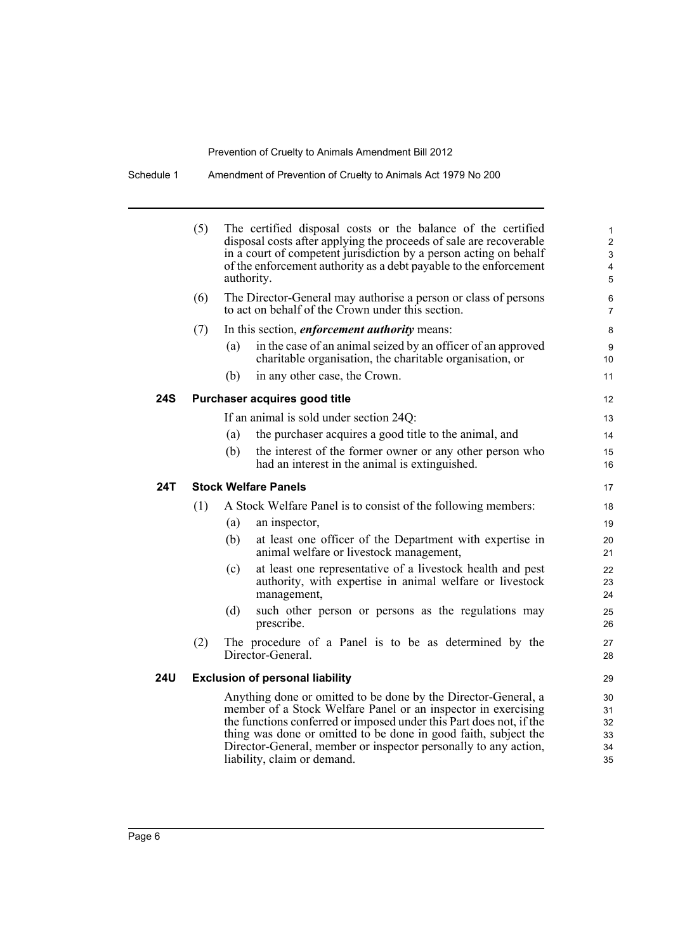Schedule 1 Amendment of Prevention of Cruelty to Animals Act 1979 No 200

|     | (5) | The certified disposal costs or the balance of the certified<br>disposal costs after applying the proceeds of sale are recoverable<br>in a court of competent jurisdiction by a person acting on behalf<br>of the enforcement authority as a debt payable to the enforcement<br>authority.                                                                                  |
|-----|-----|-----------------------------------------------------------------------------------------------------------------------------------------------------------------------------------------------------------------------------------------------------------------------------------------------------------------------------------------------------------------------------|
|     | (6) | The Director-General may authorise a person or class of persons<br>to act on behalf of the Crown under this section.                                                                                                                                                                                                                                                        |
|     | (7) | In this section, <i>enforcement authority</i> means:                                                                                                                                                                                                                                                                                                                        |
|     |     | in the case of an animal seized by an officer of an approved<br>(a)<br>charitable organisation, the charitable organisation, or                                                                                                                                                                                                                                             |
|     |     | in any other case, the Crown.<br>(b)                                                                                                                                                                                                                                                                                                                                        |
| 24S |     | Purchaser acquires good title                                                                                                                                                                                                                                                                                                                                               |
|     |     | If an animal is sold under section 24Q:                                                                                                                                                                                                                                                                                                                                     |
|     |     | the purchaser acquires a good title to the animal, and<br>(a)                                                                                                                                                                                                                                                                                                               |
|     |     | (b)<br>the interest of the former owner or any other person who<br>had an interest in the animal is extinguished.                                                                                                                                                                                                                                                           |
| 24T |     | <b>Stock Welfare Panels</b>                                                                                                                                                                                                                                                                                                                                                 |
|     | (1) | A Stock Welfare Panel is to consist of the following members:                                                                                                                                                                                                                                                                                                               |
|     |     | (a)<br>an inspector,                                                                                                                                                                                                                                                                                                                                                        |
|     |     | (b)<br>at least one officer of the Department with expertise in<br>animal welfare or livestock management,                                                                                                                                                                                                                                                                  |
|     |     | at least one representative of a livestock health and pest<br>(c)<br>authority, with expertise in animal welfare or livestock<br>management,                                                                                                                                                                                                                                |
|     |     | (d)<br>such other person or persons as the regulations may<br>prescribe.                                                                                                                                                                                                                                                                                                    |
|     | (2) | The procedure of a Panel is to be as determined by the<br>Director-General.                                                                                                                                                                                                                                                                                                 |
| 24U |     | <b>Exclusion of personal liability</b>                                                                                                                                                                                                                                                                                                                                      |
|     |     | Anything done or omitted to be done by the Director-General, a<br>member of a Stock Welfare Panel or an inspector in exercising<br>the functions conferred or imposed under this Part does not, if the<br>thing was done or omitted to be done in good faith, subject the<br>Director-General, member or inspector personally to any action,<br>liability, claim or demand. |